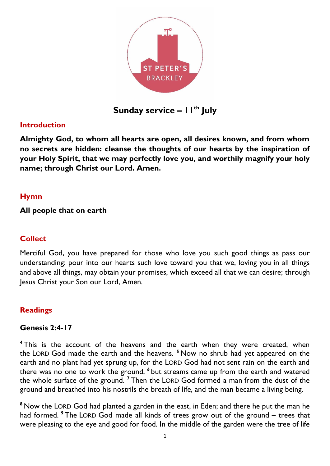

**Sunday service – 11th July**

## **Introduction**

**Almighty God, to whom all hearts are open, all desires known, and from whom no secrets are hidden: cleanse the thoughts of our hearts by the inspiration of your Holy Spirit, that we may perfectly love you, and worthily magnify your holy name; through Christ our Lord. Amen.**

# **Hymn**

**All people that on earth**

# **Collect**

Merciful God, you have prepared for those who love you such good things as pass our understanding: pour into our hearts such love toward you that we, loving you in all things and above all things, may obtain your promises, which exceed all that we can desire; through Jesus Christ your Son our Lord, Amen.

# **Readings**

## **Genesis 2:4-17**

**<sup>4</sup>** This is the account of the heavens and the earth when they were created, when the LORD God made the earth and the heavens. **<sup>5</sup>** Now no shrub had yet appeared on the earth and no plant had yet sprung up, for the LORD God had not sent rain on the earth and there was no one to work the ground, **<sup>6</sup>** but streams came up from the earth and watered the whole surface of the ground. **<sup>7</sup>** Then the LORD God formed a man from the dust of the ground and breathed into his nostrils the breath of life, and the man became a living being.

**<sup>8</sup>** Now the LORD God had planted a garden in the east, in Eden; and there he put the man he had formed. **<sup>9</sup>** The LORD God made all kinds of trees grow out of the ground – trees that were pleasing to the eye and good for food. In the middle of the garden were the tree of life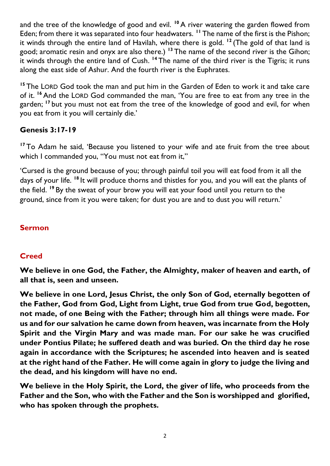and the tree of the knowledge of good and evil. <sup>10</sup> A river watering the garden flowed from Eden; from there it was separated into four headwaters. **<sup>11</sup>** The name of the first is the Pishon; it winds through the entire land of Havilah, where there is gold. **<sup>12</sup>** (The gold of that land is good; aromatic resin and onyx are also there.) **<sup>13</sup>** The name of the second river is the Gihon; it winds through the entire land of Cush. <sup>14</sup> The name of the third river is the Tigris; it runs along the east side of Ashur. And the fourth river is the Euphrates.

**<sup>15</sup>** The LORD God took the man and put him in the Garden of Eden to work it and take care of it. **<sup>16</sup>** And the LORD God commanded the man, 'You are free to eat from any tree in the garden; **<sup>17</sup>** but you must not eat from the tree of the knowledge of good and evil, for when you eat from it you will certainly die.'

## **Genesis 3:17-19**

**<sup>17</sup>** To Adam he said, 'Because you listened to your wife and ate fruit from the tree about which I commanded you, "You must not eat from it,"

'Cursed is the ground because of you; through painful toil you will eat food from it all the days of your life. **<sup>18</sup>** It will produce thorns and thistles for you, and you will eat the plants of the field. **<sup>19</sup>** By the sweat of your brow you will eat your food until you return to the ground, since from it you were taken; for dust you are and to dust you will return.'

# **Sermon**

# **Creed**

**We believe in one God, the Father, the Almighty, maker of heaven and earth, of all that is, seen and unseen.** 

**We believe in one Lord, Jesus Christ, the only Son of God, eternally begotten of the Father, God from God, Light from Light, true God from true God, begotten, not made, of one Being with the Father; through him all things were made. For us and for our salvation he came down from heaven, was incarnate from the Holy Spirit and the Virgin Mary and was made man. For our sake he was crucified under Pontius Pilate; he suffered death and was buried. On the third day he rose again in accordance with the Scriptures; he ascended into heaven and is seated at the right hand of the Father. He will come again in glory to judge the living and the dead, and his kingdom will have no end.**

**We believe in the Holy Spirit, the Lord, the giver of life, who proceeds from the Father and the Son, who with the Father and the Son is worshipped and glorified, who has spoken through the prophets.**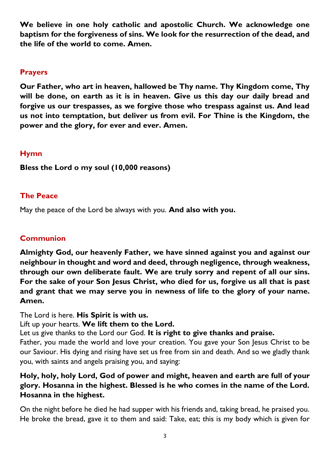**We believe in one holy catholic and apostolic Church. We acknowledge one baptism for the forgiveness of sins. We look for the resurrection of the dead, and the life of the world to come. Amen.**

## **Prayers**

**Our Father, who art in heaven, hallowed be Thy name. Thy Kingdom come, Thy will be done, on earth as it is in heaven. Give us this day our daily bread and forgive us our trespasses, as we forgive those who trespass against us. And lead us not into temptation, but deliver us from evil. For Thine is the Kingdom, the power and the glory, for ever and ever. Amen.**

## **Hymn**

**Bless the Lord o my soul (10,000 reasons)**

# **The Peace**

May the peace of the Lord be always with you. **And also with you.**

# **Communion**

**Almighty God, our heavenly Father, we have sinned against you and against our neighbour in thought and word and deed, through negligence, through weakness, through our own deliberate fault. We are truly sorry and repent of all our sins. For the sake of your Son Jesus Christ, who died for us, forgive us all that is past and grant that we may serve you in newness of life to the glory of your name. Amen.**

The Lord is here. **His Spirit is with us.**

Lift up your hearts. **We lift them to the Lord.**

Let us give thanks to the Lord our God. **It is right to give thanks and praise.**

Father, you made the world and love your creation. You gave your Son Jesus Christ to be our Saviour. His dying and rising have set us free from sin and death. And so we gladly thank you, with saints and angels praising you, and saying:

# **Holy, holy, holy Lord, God of power and might, heaven and earth are full of your glory. Hosanna in the highest. Blessed is he who comes in the name of the Lord. Hosanna in the highest.**

On the night before he died he had supper with his friends and, taking bread, he praised you. He broke the bread, gave it to them and said: Take, eat; this is my body which is given for